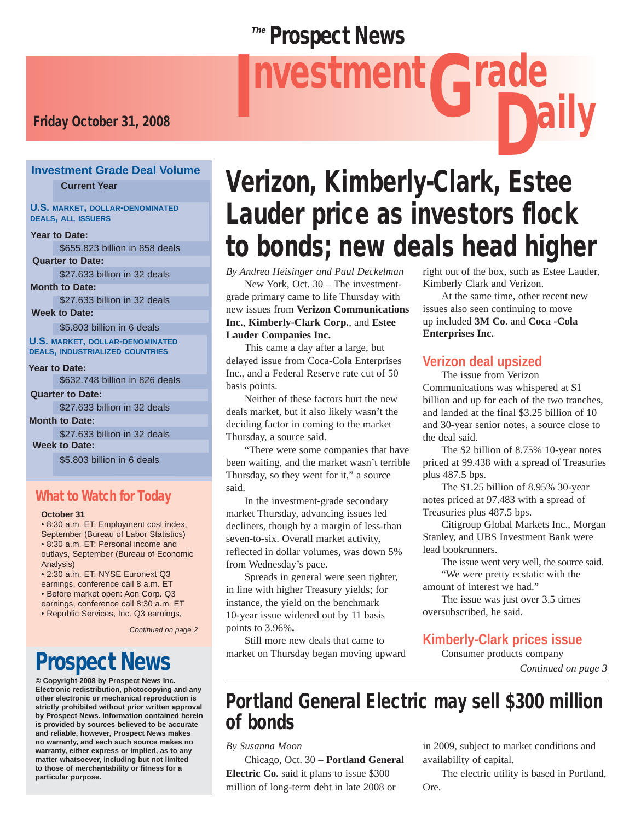## **Prospect News**

# Friday October 31, 2008<br>Friday October 31, 2008 nvestment Grade

## **Investment Grade Deal Volume**

#### **U.S. MARKET, DOLLAR-DENOMINATED DEALS, ALL ISSUERS**

**Year to Date:**

\$655.823 billion in 858 deals

\$27.633 billion in 32 deals **Quarter to Date:**

**Month to Date:**

\$27.633 billion in 32 deals

**Week to Date:**

\$5.803 billion in 6 deals

**U.S. MARKET, DOLLAR-DENOMINATED DEALS, INDUSTRIALIZED COUNTRIES**

\$632.748 billion in 826 deals **Year to Date:**

\$27.633 billion in 32 deals **Month to Date: Quarter to Date:**

\$27.633 billion in 32 deals **Week to Date:**

\$5.803 billion in 6 deals

#### What to Watch for Today

#### **October 31**

• 8:30 a.m. ET: Employment cost index, September (Bureau of Labor Statistics) • 8:30 a.m. ET: Personal income and outlays, September (Bureau of Economic Analysis)

• 2:30 a.m. ET: NYSE Euronext Q3 earnings, conference call 8 a.m. ET

• Before market open: Aon Corp. Q3

earnings, conference call 8:30 a.m. ET

• Republic Services, Inc. Q3 earnings,

*Continued on page 2*

## Prospect News

**© Copyright 2008 by Prospect News Inc. Electronic redistribution, photocopying and any other electronic or mechanical reproduction is strictly prohibited without prior written approval by Prospect News. Information contained herein is provided by sources believed to be accurate and reliable, however, Prospect News makes no warranty, and each such source makes no warranty, either express or implied, as to any matter whatsoever, including but not limited to those of merchantability or fitness for a particular purpose.**

## **Current Year** Verizon, Kimberly-Clark, Estee Lauder price as investors flock to bonds; new deals head higher

*By Andrea Heisinger and Paul Deckelman*

 New York, Oct. 30 – The investmentgrade primary came to life Thursday with new issues from **Verizon Communications Inc.**, **Kimberly-Clark Corp.**, and **Estee Lauder Companies Inc.**

This came a day after a large, but delayed issue from Coca-Cola Enterprises Inc., and a Federal Reserve rate cut of 50 basis points.

 Neither of these factors hurt the new deals market, but it also likely wasn't the deciding factor in coming to the market Thursday, a source said.

 "There were some companies that have been waiting, and the market wasn't terrible Thursday, so they went for it," a source said.

 In the investment-grade secondary market Thursday, advancing issues led decliners, though by a margin of less-than seven-to-six. Overall market activity, reflected in dollar volumes, was down 5% from Wednesday's pace.

 Spreads in general were seen tighter, in line with higher Treasury yields; for instance, the yield on the benchmark 10-year issue widened out by 11 basis points to 3.96%**.**

 Still more new deals that came to market on Thursday began moving upward right out of the box, such as Estee Lauder, Kimberly Clark and Verizon.

 At the same time, other recent new issues also seen continuing to move up included **3M Co**. and **Coca -Cola Enterprises Inc.**

#### **Verizon deal upsized**

 The issue from Verizon Communications was whispered at \$1 billion and up for each of the two tranches, and landed at the final \$3.25 billion of 10 and 30-year senior notes, a source close to the deal said.

 The \$2 billion of 8.75% 10-year notes priced at 99.438 with a spread of Treasuries plus 487.5 bps.

 The \$1.25 billion of 8.95% 30-year notes priced at 97.483 with a spread of Treasuries plus 487.5 bps.

 Citigroup Global Markets Inc., Morgan Stanley, and UBS Investment Bank were lead bookrunners.

 The issue went very well, the source said. "We were pretty ecstatic with the amount of interest we had."

 The issue was just over 3.5 times oversubscribed, he said.

#### **Kimberly-Clark prices issue**

Consumer products company

*Continued on page 3*

## Portland General Electric may sell \$300 million of bonds

*By Susanna Moon*

 Chicago, Oct. 30 – **Portland General Electric Co.** said it plans to issue \$300 million of long-term debt in late 2008 or

in 2009, subject to market conditions and availability of capital.

 The electric utility is based in Portland, Ore.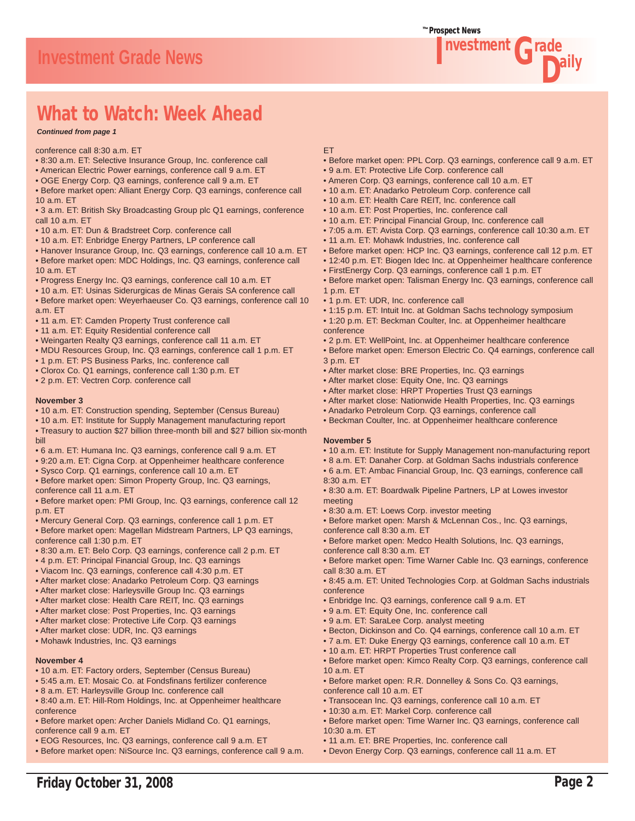

## What to Watch: Week Ahead

*Continued from page 1*

conference call 8:30 a.m. ET

- 8:30 a.m. ET: Selective Insurance Group, Inc. conference call
- American Electric Power earnings, conference call 9 a.m. ET
- OGE Energy Corp. Q3 earnings, conference call 9 a.m. ET
- Before market open: Alliant Energy Corp. Q3 earnings, conference call 10 a.m. ET
- 3 a.m. ET: British Sky Broadcasting Group plc Q1 earnings, conference call  $10a$  m FT
- 10 a.m. ET: Dun & Bradstreet Corp. conference call
- 10 a.m. ET: Enbridge Energy Partners, LP conference call
- Hanover Insurance Group, Inc. Q3 earnings, conference call 10 a.m. ET • Before market open: MDC Holdings, Inc. Q3 earnings, conference call
- 10 a.m. ET
- Progress Energy Inc. Q3 earnings, conference call 10 a.m. ET
- 10 a.m. ET: Usinas Siderurgicas de Minas Gerais SA conference call
- Before market open: Weyerhaeuser Co. Q3 earnings, conference call 10 a.m. ET
- 11 a.m. ET: Camden Property Trust conference call
- 11 a.m. ET: Equity Residential conference call
- Weingarten Realty Q3 earnings, conference call 11 a.m. ET
- MDU Resources Group, Inc. Q3 earnings, conference call 1 p.m. ET
- 1 p.m. ET: PS Business Parks, Inc. conference call
- Clorox Co. Q1 earnings, conference call 1:30 p.m. ET
- 2 p.m. ET: Vectren Corp. conference call

#### **November 3**

- 10 a.m. ET: Construction spending, September (Census Bureau)
- 10 a.m. ET: Institute for Supply Management manufacturing report
- Treasury to auction \$27 billion three-month bill and \$27 billion six-month bill
- 6 a.m. ET: Humana Inc. Q3 earnings, conference call 9 a.m. ET
- 9:20 a.m. ET: Cigna Corp. at Oppenheimer healthcare conference
- Sysco Corp. Q1 earnings, conference call 10 a.m. ET
- Before market open: Simon Property Group, Inc. Q3 earnings, conference call 11 a.m. ET
- Before market open: PMI Group, Inc. Q3 earnings, conference call 12 p.m. ET
- Mercury General Corp. Q3 earnings, conference call 1 p.m. ET
- Before market open: Magellan Midstream Partners, LP Q3 earnings, conference call 1:30 p.m. ET
- 8:30 a.m. ET: Belo Corp. Q3 earnings, conference call 2 p.m. ET
- 4 p.m. ET: Principal Financial Group, Inc. Q3 earnings
- Viacom Inc. Q3 earnings, conference call 4:30 p.m. ET
- After market close: Anadarko Petroleum Corp. Q3 earnings
- After market close: Harleysville Group Inc. Q3 earnings
- After market close: Health Care REIT, Inc. Q3 earnings
- After market close: Post Properties, Inc. Q3 earnings
- After market close: Protective Life Corp. Q3 earnings
- After market close: UDR, Inc. Q3 earnings
- Mohawk Industries, Inc. Q3 earnings

#### **November 4**

- 10 a.m. ET: Factory orders, September (Census Bureau)
- 5:45 a.m. ET: Mosaic Co. at Fondsfinans fertilizer conference
- 8 a.m. ET: Harleysville Group Inc. conference call
- 8:40 a.m. ET: Hill-Rom Holdings, Inc. at Oppenheimer healthcare conference
- Before market open: Archer Daniels Midland Co. Q1 earnings, conference call 9 a.m. ET
- EOG Resources, Inc. Q3 earnings, conference call 9 a.m. ET
- Before market open: NiSource Inc. Q3 earnings, conference call 9 a.m.

#### ET

- Before market open: PPL Corp. Q3 earnings, conference call 9 a.m. ET
- 9 a.m. ET: Protective Life Corp. conference call
- Ameren Corp. Q3 earnings, conference call 10 a.m. ET
- 10 a.m. ET: Anadarko Petroleum Corp. conference call
- 10 a.m. ET: Health Care REIT, Inc. conference call
- 10 a.m. ET: Post Properties, Inc. conference call
- 10 a.m. ET: Principal Financial Group, Inc. conference call
- 7:05 a.m. ET: Avista Corp. Q3 earnings, conference call 10:30 a.m. ET
- 11 a.m. ET: Mohawk Industries, Inc. conference call
- Before market open: HCP Inc. Q3 earnings, conference call 12 p.m. ET
- 12:40 p.m. ET: Biogen Idec Inc. at Oppenheimer healthcare conference
- FirstEnergy Corp. Q3 earnings, conference call 1 p.m. ET
	- Before market open: Talisman Energy Inc. Q3 earnings, conference call 1 p.m. ET
	- 1 p.m. ET: UDR, Inc. conference call
	- 1:15 p.m. ET: Intuit Inc. at Goldman Sachs technology symposium
	- 1:20 p.m. ET: Beckman Coulter, Inc. at Oppenheimer healthcare conference
	- 2 p.m. ET: WellPoint, Inc. at Oppenheimer healthcare conference
	- Before market open: Emerson Electric Co. Q4 earnings, conference call 3 p.m. ET
	- After market close: BRE Properties, Inc. Q3 earnings
	- After market close: Equity One, Inc. Q3 earnings
	- After market close: HRPT Properties Trust Q3 earnings
	- After market close: Nationwide Health Properties, Inc. Q3 earnings
- Anadarko Petroleum Corp. Q3 earnings, conference call
	- Beckman Coulter, Inc. at Oppenheimer healthcare conference

#### **November 5**

- 10 a.m. ET: Institute for Supply Management non-manufacturing report
- 8 a.m. ET: Danaher Corp. at Goldman Sachs industrials conference
- 6 a.m. ET: Ambac Financial Group, Inc. Q3 earnings, conference call
- 8:30 a.m. ET • 8:30 a.m. ET: Boardwalk Pipeline Partners, LP at Lowes investor
- meeting
- 8:30 a.m. ET: Loews Corp. investor meeting
- Before market open: Marsh & McLennan Cos., Inc. Q3 earnings, conference call 8:30 a.m. ET
- Before market open: Medco Health Solutions, Inc. Q3 earnings, conference call 8:30 a.m. ET
- Before market open: Time Warner Cable Inc. Q3 earnings, conference call 8:30 a.m. ET
- 8:45 a.m. ET: United Technologies Corp. at Goldman Sachs industrials conference
- Enbridge Inc. Q3 earnings, conference call 9 a.m. ET
- 9 a.m. ET: Equity One, Inc. conference call
- 9 a.m. ET: SaraLee Corp. analyst meeting
- Becton, Dickinson and Co. Q4 earnings, conference call 10 a.m. ET
- 7 a.m. ET: Duke Energy Q3 earnings, conference call 10 a.m. ET
- 10 a.m. ET: HRPT Properties Trust conference call
- Before market open: Kimco Realty Corp. Q3 earnings, conference call 10 a.m. ET

• Before market open: Time Warner Inc. Q3 earnings, conference call

• Before market open: R.R. Donnelley & Sons Co. Q3 earnings, conference call 10 a.m. ET

• Devon Energy Corp. Q3 earnings, conference call 11 a.m. ET

- Transocean Inc. Q3 earnings, conference call 10 a.m. ET
- 10:30 a.m. ET: Markel Corp. conference call

• 11 a.m. ET: BRE Properties, Inc. conference call

Friday October 31, 2008 **Page 2** 

10:30 a.m. ET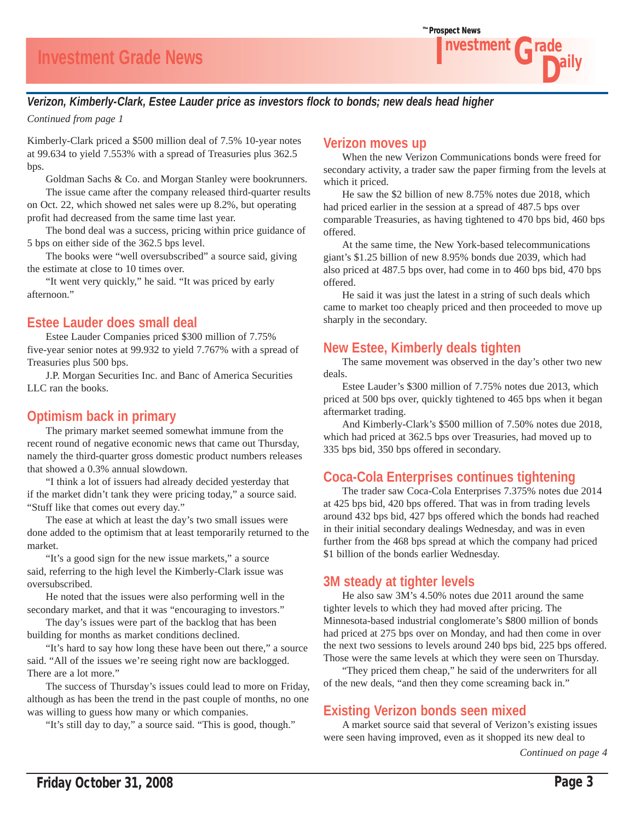

#### *Verizon, Kimberly-Clark, Estee Lauder price as investors flock to bonds; new deals head higher*

*Continued from page 1*

Kimberly-Clark priced a \$500 million deal of 7.5% 10-year notes at 99.634 to yield 7.553% with a spread of Treasuries plus 362.5 bps.

 Goldman Sachs & Co. and Morgan Stanley were bookrunners. The issue came after the company released third-quarter results on Oct. 22, which showed net sales were up 8.2%, but operating profit had decreased from the same time last year.

 The bond deal was a success, pricing within price guidance of 5 bps on either side of the 362.5 bps level.

 The books were "well oversubscribed" a source said, giving the estimate at close to 10 times over.

 "It went very quickly," he said. "It was priced by early afternoon."

#### **Estee Lauder does small deal**

 Estee Lauder Companies priced \$300 million of 7.75% five-year senior notes at 99.932 to yield 7.767% with a spread of Treasuries plus 500 bps.

 J.P. Morgan Securities Inc. and Banc of America Securities LLC ran the books.

#### **Optimism back in primary**

 The primary market seemed somewhat immune from the recent round of negative economic news that came out Thursday, namely the third-quarter gross domestic product numbers releases that showed a 0.3% annual slowdown.

 "I think a lot of issuers had already decided yesterday that if the market didn't tank they were pricing today," a source said. "Stuff like that comes out every day."

 The ease at which at least the day's two small issues were done added to the optimism that at least temporarily returned to the market.

 "It's a good sign for the new issue markets," a source said, referring to the high level the Kimberly-Clark issue was oversubscribed.

 He noted that the issues were also performing well in the secondary market, and that it was "encouraging to investors."

 The day's issues were part of the backlog that has been building for months as market conditions declined.

 "It's hard to say how long these have been out there," a source said. "All of the issues we're seeing right now are backlogged. There are a lot more."

 The success of Thursday's issues could lead to more on Friday, although as has been the trend in the past couple of months, no one was willing to guess how many or which companies.

"It's still day to day," a source said. "This is good, though."

#### **Verizon moves up**

 When the new Verizon Communications bonds were freed for secondary activity, a trader saw the paper firming from the levels at which it priced.

 He saw the \$2 billion of new 8.75% notes due 2018, which had priced earlier in the session at a spread of 487.5 bps over comparable Treasuries, as having tightened to 470 bps bid, 460 bps offered.

 At the same time, the New York-based telecommunications giant's \$1.25 billion of new 8.95% bonds due 2039, which had also priced at 487.5 bps over, had come in to 460 bps bid, 470 bps offered.

 He said it was just the latest in a string of such deals which came to market too cheaply priced and then proceeded to move up sharply in the secondary.

#### **New Estee, Kimberly deals tighten**

 The same movement was observed in the day's other two new deals.

 Estee Lauder's \$300 million of 7.75% notes due 2013, which priced at 500 bps over, quickly tightened to 465 bps when it began aftermarket trading.

 And Kimberly-Clark's \$500 million of 7.50% notes due 2018, which had priced at 362.5 bps over Treasuries, had moved up to 335 bps bid, 350 bps offered in secondary.

#### **Coca-Cola Enterprises continues tightening**

 The trader saw Coca-Cola Enterprises 7.375% notes due 2014 at 425 bps bid, 420 bps offered. That was in from trading levels around 432 bps bid, 427 bps offered which the bonds had reached in their initial secondary dealings Wednesday, and was in even further from the 468 bps spread at which the company had priced \$1 billion of the bonds earlier Wednesday.

#### **3M steady at tighter levels**

 He also saw 3M's 4.50% notes due 2011 around the same tighter levels to which they had moved after pricing. The Minnesota-based industrial conglomerate's \$800 million of bonds had priced at 275 bps over on Monday, and had then come in over the next two sessions to levels around 240 bps bid, 225 bps offered. Those were the same levels at which they were seen on Thursday.

 "They priced them cheap," he said of the underwriters for all of the new deals, "and then they come screaming back in."

#### **Existing Verizon bonds seen mixed**

 A market source said that several of Verizon's existing issues were seen having improved, even as it shopped its new deal to

*Continued on page 4*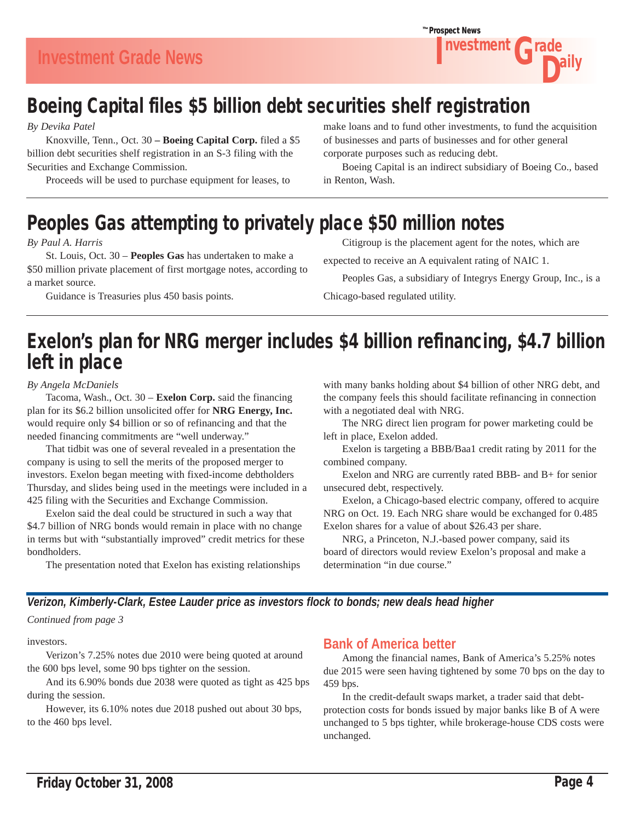

## Boeing Capital files \$5 billion debt securities shelf registration

*By Devika Patel*

 Knoxville, Tenn., Oct. 30 **– Boeing Capital Corp.** filed a \$5 billion debt securities shelf registration in an S-3 filing with the Securities and Exchange Commission.

Proceeds will be used to purchase equipment for leases, to

make loans and to fund other investments, to fund the acquisition of businesses and parts of businesses and for other general corporate purposes such as reducing debt.

 Boeing Capital is an indirect subsidiary of Boeing Co., based in Renton, Wash.

## Peoples Gas attempting to privately place \$50 million notes

#### *By Paul A. Harris*

 St. Louis, Oct. 30 – **Peoples Gas** has undertaken to make a \$50 million private placement of first mortgage notes, according to a market source.

Guidance is Treasuries plus 450 basis points.

Citigroup is the placement agent for the notes, which are

expected to receive an A equivalent rating of NAIC 1.

Peoples Gas, a subsidiary of Integrys Energy Group, Inc., is a

Chicago-based regulated utility.

## Exelon's plan for NRG merger includes \$4 billion refinancing, \$4.7 billion left in place

#### *By Angela McDaniels*

 Tacoma, Wash., Oct. 30 – **Exelon Corp.** said the financing plan for its \$6.2 billion unsolicited offer for **NRG Energy, Inc.** would require only \$4 billion or so of refinancing and that the needed financing commitments are "well underway."

 That tidbit was one of several revealed in a presentation the company is using to sell the merits of the proposed merger to investors. Exelon began meeting with fixed-income debtholders Thursday, and slides being used in the meetings were included in a 425 filing with the Securities and Exchange Commission.

 Exelon said the deal could be structured in such a way that \$4.7 billion of NRG bonds would remain in place with no change in terms but with "substantially improved" credit metrics for these bondholders.

The presentation noted that Exelon has existing relationships

with many banks holding about \$4 billion of other NRG debt, and the company feels this should facilitate refinancing in connection with a negotiated deal with NRG.

 The NRG direct lien program for power marketing could be left in place, Exelon added.

 Exelon is targeting a BBB/Baa1 credit rating by 2011 for the combined company.

Exelon and NRG are currently rated BBB- and B+ for senior unsecured debt, respectively.

 Exelon, a Chicago-based electric company, offered to acquire NRG on Oct. 19. Each NRG share would be exchanged for 0.485 Exelon shares for a value of about \$26.43 per share.

 NRG, a Princeton, N.J.-based power company, said its board of directors would review Exelon's proposal and make a determination "in due course."

*Verizon, Kimberly-Clark, Estee Lauder price as investors flock to bonds; new deals head higher*

*Continued from page 3*

investors.

 Verizon's 7.25% notes due 2010 were being quoted at around the 600 bps level, some 90 bps tighter on the session.

 And its 6.90% bonds due 2038 were quoted as tight as 425 bps during the session.

 However, its 6.10% notes due 2018 pushed out about 30 bps, to the 460 bps level.

#### **Bank of America better**

 Among the financial names, Bank of America's 5.25% notes due 2015 were seen having tightened by some 70 bps on the day to 459 bps.

 In the credit-default swaps market, a trader said that debtprotection costs for bonds issued by major banks like B of A were unchanged to 5 bps tighter, while brokerage-house CDS costs were unchanged.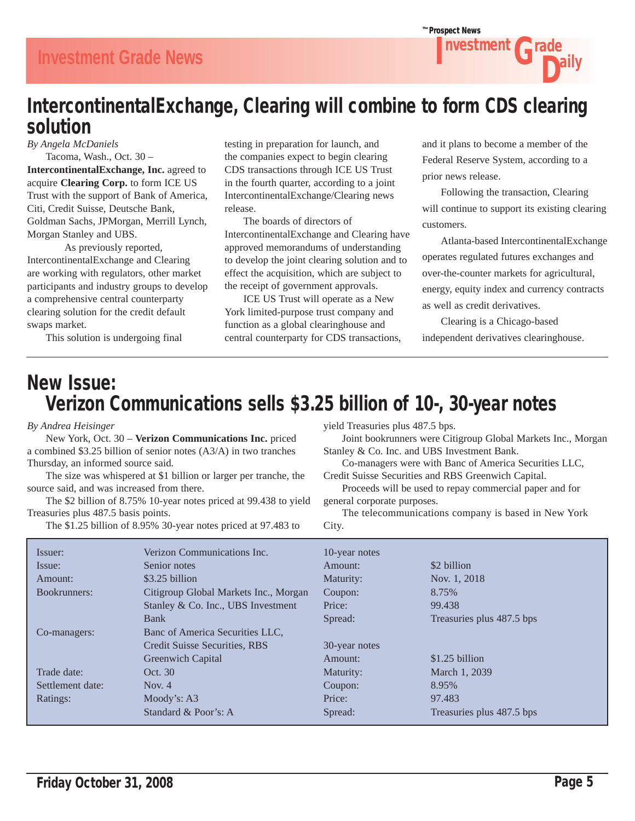### IntercontinentalExchange, Clearing will combine to form CDS clearing solution

*By Angela McDaniels*

 Tacoma, Wash., Oct. 30 – **IntercontinentalExchange, Inc.** agreed to acquire **Clearing Corp.** to form ICE US Trust with the support of Bank of America, Citi, Credit Suisse, Deutsche Bank, Goldman Sachs, JPMorgan, Merrill Lynch, Morgan Stanley and UBS.

As previously reported, IntercontinentalExchange and Clearing are working with regulators, other market participants and industry groups to develop a comprehensive central counterparty clearing solution for the credit default swaps market.

This solution is undergoing final

testing in preparation for launch, and the companies expect to begin clearing CDS transactions through ICE US Trust in the fourth quarter, according to a joint IntercontinentalExchange/Clearing news release.

 The boards of directors of IntercontinentalExchange and Clearing have approved memorandums of understanding to develop the joint clearing solution and to effect the acquisition, which are subject to the receipt of government approvals.

 ICE US Trust will operate as a New York limited-purpose trust company and function as a global clearinghouse and central counterparty for CDS transactions,

and it plans to become a member of the Federal Reserve System, according to a prior news release.

 Following the transaction, Clearing will continue to support its existing clearing customers.

 Atlanta-based IntercontinentalExchange operates regulated futures exchanges and over-the-counter markets for agricultural, energy, equity index and currency contracts as well as credit derivatives.

 Clearing is a Chicago-based independent derivatives clearinghouse.

## New Issue: Verizon Communications sells \$3.25 billion of 10-, 30-year notes

*By Andrea Heisinger*

 New York, Oct. 30 – **Verizon Communications Inc.** priced a combined \$3.25 billion of senior notes (A3/A) in two tranches Thursday, an informed source said.

 The size was whispered at \$1 billion or larger per tranche, the source said, and was increased from there.

 The \$2 billion of 8.75% 10-year notes priced at 99.438 to yield Treasuries plus 487.5 basis points.

The \$1.25 billion of 8.95% 30-year notes priced at 97.483 to

yield Treasuries plus 487.5 bps.

 Joint bookrunners were Citigroup Global Markets Inc., Morgan Stanley & Co. Inc. and UBS Investment Bank.

 Co-managers were with Banc of America Securities LLC, Credit Suisse Securities and RBS Greenwich Capital.

 Proceeds will be used to repay commercial paper and for general corporate purposes.

 The telecommunications company is based in New York City.

| Issuer:          | Verizon Communications Inc.           | 10-year notes |                           |
|------------------|---------------------------------------|---------------|---------------------------|
| Issue:           | Senior notes                          | Amount:       | \$2 billion               |
| Amount:          | \$3.25 billion                        | Maturity:     | Nov. 1, 2018              |
| Bookrunners:     | Citigroup Global Markets Inc., Morgan | Coupon:       | 8.75%                     |
|                  | Stanley & Co. Inc., UBS Investment    | Price:        | 99.438                    |
|                  | Bank                                  | Spread:       | Treasuries plus 487.5 bps |
| Co-managers:     | Banc of America Securities LLC,       |               |                           |
|                  | Credit Suisse Securities, RBS         | 30-year notes |                           |
|                  | Greenwich Capital                     | Amount:       | $$1.25$ billion           |
| Trade date:      | Oct. 30                               | Maturity:     | March 1, 2039             |
| Settlement date: | Nov. $4$                              | Coupon:       | 8.95%                     |
| Ratings:         | Moody's: $A3$                         | Price:        | 97.483                    |
|                  | Standard & Poor's: A                  | Spread:       | Treasuries plus 487.5 bps |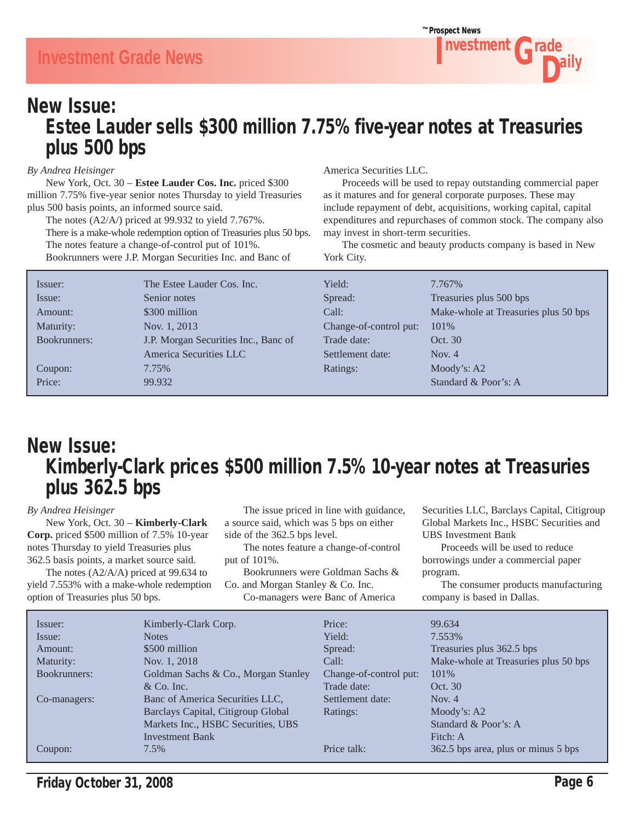### New Issue: Estee Lauder sells \$300 million 7.75% five-year notes at Treasuries plus 500 bps

#### *By Andrea Heisinger*

 New York, Oct. 30 – **Estee Lauder Cos. Inc.** priced \$300 million 7.75% five-year senior notes Thursday to yield Treasuries plus 500 basis points, an informed source said.

 The notes (A2/A/) priced at 99.932 to yield 7.767%. There is a make-whole redemption option of Treasuries plus 50 bps. The notes feature a change-of-control put of 101%. Bookrunners were J.P. Morgan Securities Inc. and Banc of

America Securities LLC.

 Proceeds will be used to repay outstanding commercial paper as it matures and for general corporate purposes. These may include repayment of debt, acquisitions, working capital, capital expenditures and repurchases of common stock. The company also may invest in short-term securities.

 The cosmetic and beauty products company is based in New York City.

| Issuer:      | The Estee Lauder Cos. Inc.           | Yield:                 | 7.767%                               |
|--------------|--------------------------------------|------------------------|--------------------------------------|
| Issue:       | Senior notes                         | Spread:                | Treasuries plus 500 bps              |
| Amount:      | \$300 million                        | Call:                  | Make-whole at Treasuries plus 50 bps |
| Maturity:    | Nov. 1, 2013                         | Change-of-control put: | 101\%                                |
| Bookrunners: | J.P. Morgan Securities Inc., Banc of | Trade date:            | Oct. 30                              |
|              | America Securities LLC               | Settlement date:       | Nov. $4$                             |
| Coupon:      | 7.75%                                | Ratings:               | Moody's: $A2$                        |
| Price:       | 99.932                               |                        | Standard & Poor's: A                 |

## New Issue: Kimberly-Clark prices \$500 million 7.5% 10-year notes at Treasuries plus 362.5 bps

*By Andrea Heisinger* New York, Oct. 30 – **Kimberly-Clark** 

**Corp.** priced \$500 million of 7.5% 10-year notes Thursday to yield Treasuries plus 362.5 basis points, a market source said.

 The notes (A2/A/A) priced at 99.634 to yield 7.553% with a make-whole redemption option of Treasuries plus 50 bps.

 The issue priced in line with guidance, a source said, which was 5 bps on either side of the 362.5 bps level.

 The notes feature a change-of-control put of 101%.

 Bookrunners were Goldman Sachs & Co. and Morgan Stanley & Co. Inc.

Co-managers were Banc of America

Securities LLC, Barclays Capital, Citigroup Global Markets Inc., HSBC Securities and UBS Investment Bank

 Proceeds will be used to reduce borrowings under a commercial paper program.

 The consumer products manufacturing company is based in Dallas.

| Issuer:      | Kimberly-Clark Corp.                | Price:                 | 99.634                               |
|--------------|-------------------------------------|------------------------|--------------------------------------|
| Issue:       | <b>Notes</b>                        | Yield:                 | 7.553%                               |
| Amount:      | \$500 million                       | Spread:                | Treasuries plus 362.5 bps            |
| Maturity:    | Nov. 1, 2018                        | Call:                  | Make-whole at Treasuries plus 50 bps |
| Bookrunners: | Goldman Sachs & Co., Morgan Stanley | Change-of-control put: | 101\%                                |
|              | $& Co.$ Inc.                        | Trade date:            | Oct. 30                              |
| Co-managers: | Banc of America Securities LLC.     | Settlement date:       | Nov. $4$                             |
|              | Barclays Capital, Citigroup Global  | Ratings:               | Moody's: A2                          |
|              | Markets Inc., HSBC Securities, UBS  |                        | Standard & Poor's: A                 |
|              | <b>Investment Bank</b>              |                        | Fitch: A                             |
| Coupon:      | 7.5%                                | Price talk:            | 362.5 bps area, plus or minus 5 bps  |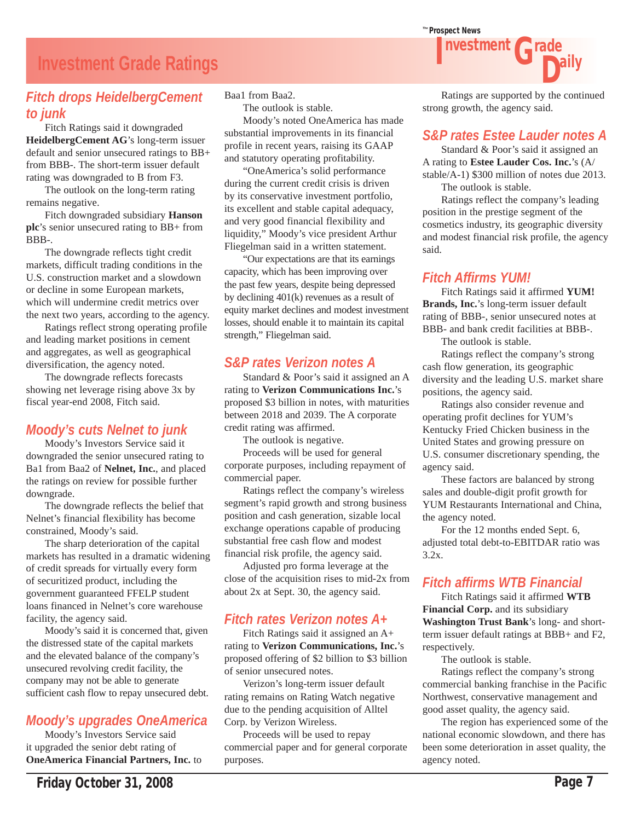### **Investment Grade Ratings**

#### *Fitch drops HeidelbergCement to junk*

 Fitch Ratings said it downgraded **HeidelbergCement AG**'s long-term issuer default and senior unsecured ratings to BB+ from BBB-. The short-term issuer default rating was downgraded to B from F3.

 The outlook on the long-term rating remains negative.

 Fitch downgraded subsidiary **Hanson plc**'s senior unsecured rating to BB+ from BBB-.

 The downgrade reflects tight credit markets, difficult trading conditions in the U.S. construction market and a slowdown or decline in some European markets, which will undermine credit metrics over the next two years, according to the agency.

 Ratings reflect strong operating profile and leading market positions in cement and aggregates, as well as geographical diversification, the agency noted.

 The downgrade reflects forecasts showing net leverage rising above 3x by fiscal year-end 2008, Fitch said.

#### *Moody's cuts Nelnet to junk*

 Moody's Investors Service said it downgraded the senior unsecured rating to Ba1 from Baa2 of **Nelnet, Inc.**, and placed the ratings on review for possible further downgrade.

 The downgrade reflects the belief that Nelnet's financial flexibility has become constrained, Moody's said.

 The sharp deterioration of the capital markets has resulted in a dramatic widening of credit spreads for virtually every form of securitized product, including the government guaranteed FFELP student loans financed in Nelnet's core warehouse facility, the agency said.

 Moody's said it is concerned that, given the distressed state of the capital markets and the elevated balance of the company's unsecured revolving credit facility, the company may not be able to generate sufficient cash flow to repay unsecured debt.

### *Moody's upgrades OneAmerica*

 Moody's Investors Service said it upgraded the senior debt rating of **OneAmerica Financial Partners, Inc.** to Baa1 from Baa2.

The outlook is stable.

 Moody's noted OneAmerica has made substantial improvements in its financial profile in recent years, raising its GAAP and statutory operating profitability.

 "OneAmerica's solid performance during the current credit crisis is driven by its conservative investment portfolio, its excellent and stable capital adequacy, and very good financial flexibility and liquidity," Moody's vice president Arthur Fliegelman said in a written statement.

 "Our expectations are that its earnings capacity, which has been improving over the past few years, despite being depressed by declining 401(k) revenues as a result of equity market declines and modest investment losses, should enable it to maintain its capital strength," Fliegelman said.

### *S&P rates Verizon notes A*

 Standard & Poor's said it assigned an A rating to **Verizon Communications Inc.**'s proposed \$3 billion in notes, with maturities between 2018 and 2039. The A corporate credit rating was affirmed.

The outlook is negative.

 Proceeds will be used for general corporate purposes, including repayment of commercial paper.

 Ratings reflect the company's wireless segment's rapid growth and strong business position and cash generation, sizable local exchange operations capable of producing substantial free cash flow and modest financial risk profile, the agency said.

 Adjusted pro forma leverage at the close of the acquisition rises to mid-2x from about 2x at Sept. 30, the agency said.

### *Fitch rates Verizon notes A+*

 Fitch Ratings said it assigned an A+ rating to **Verizon Communications, Inc.**'s proposed offering of \$2 billion to \$3 billion of senior unsecured notes.

 Verizon's long-term issuer default rating remains on Rating Watch negative due to the pending acquisition of Alltel Corp. by Verizon Wireless.

 Proceeds will be used to repay commercial paper and for general corporate purposes.



**Grade** 

#### *S&P rates Estee Lauder notes A*

 Standard & Poor's said it assigned an A rating to **Estee Lauder Cos. Inc.**'s (A/ stable/A-1) \$300 million of notes due 2013. The outlook is stable.

 Ratings reflect the company's leading position in the prestige segment of the cosmetics industry, its geographic diversity and modest financial risk profile, the agency said.

#### *Fitch Affirms YUM!*

 Fitch Ratings said it affirmed **YUM! Brands, Inc.**'s long-term issuer default rating of BBB-, senior unsecured notes at BBB- and bank credit facilities at BBB-.

The outlook is stable.

 Ratings reflect the company's strong cash flow generation, its geographic diversity and the leading U.S. market share positions, the agency said.

 Ratings also consider revenue and operating profit declines for YUM's Kentucky Fried Chicken business in the United States and growing pressure on U.S. consumer discretionary spending, the agency said.

 These factors are balanced by strong sales and double-digit profit growth for YUM Restaurants International and China, the agency noted.

 For the 12 months ended Sept. 6, adjusted total debt-to-EBITDAR ratio was 3.2x.

### *Fitch affirms WTB Financial*

 Fitch Ratings said it affirmed **WTB Financial Corp.** and its subsidiary **Washington Trust Bank**'s long- and shortterm issuer default ratings at BBB+ and F2, respectively.

The outlook is stable.

 Ratings reflect the company's strong commercial banking franchise in the Pacific Northwest, conservative management and good asset quality, the agency said.

 The region has experienced some of the national economic slowdown, and there has been some deterioration in asset quality, the agency noted.



nvestment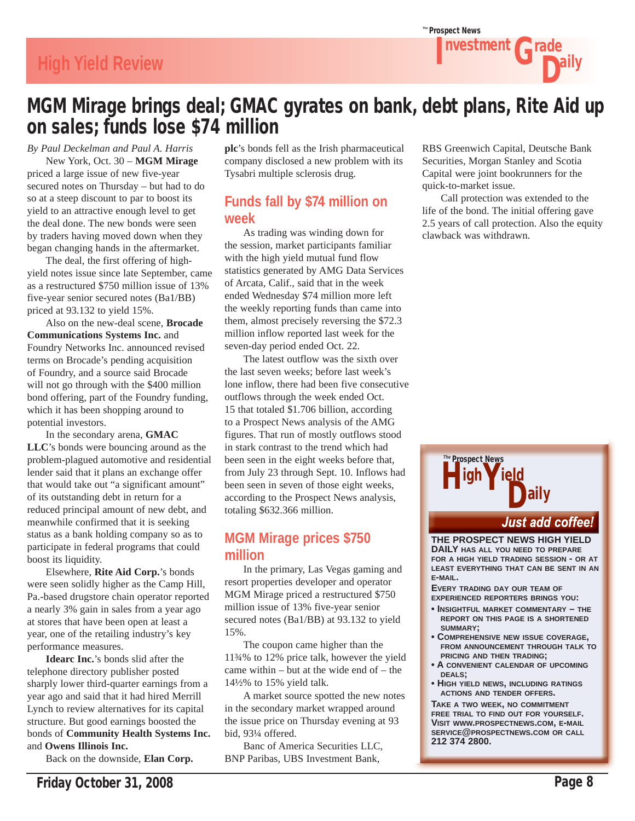## **High Yield Review**

## MGM Mirage brings deal; GMAC gyrates on bank, debt plans, Rite Aid up on sales; funds lose \$74 million

*By Paul Deckelman and Paul A. Harris*

 New York, Oct. 30 – **MGM Mirage**  priced a large issue of new five-year secured notes on Thursday – but had to do so at a steep discount to par to boost its yield to an attractive enough level to get the deal done. The new bonds were seen by traders having moved down when they began changing hands in the aftermarket.

 The deal, the first offering of highyield notes issue since late September, came as a restructured \$750 million issue of 13% five-year senior secured notes (Ba1/BB) priced at 93.132 to yield 15%.

 Also on the new-deal scene, **Brocade Communications Systems Inc.** and Foundry Networks Inc. announced revised terms on Brocade's pending acquisition of Foundry, and a source said Brocade will not go through with the \$400 million bond offering, part of the Foundry funding, which it has been shopping around to potential investors.

 In the secondary arena, **GMAC LLC**'s bonds were bouncing around as the problem-plagued automotive and residential lender said that it plans an exchange offer that would take out "a significant amount" of its outstanding debt in return for a reduced principal amount of new debt, and meanwhile confirmed that it is seeking status as a bank holding company so as to participate in federal programs that could boost its liquidity.

 Elsewhere, **Rite Aid Corp.**'s bonds were seen solidly higher as the Camp Hill, Pa.-based drugstore chain operator reported a nearly 3% gain in sales from a year ago at stores that have been open at least a year, one of the retailing industry's key performance measures.

**Idearc Inc.**'s bonds slid after the telephone directory publisher posted sharply lower third-quarter earnings from a year ago and said that it had hired Merrill Lynch to review alternatives for its capital structure. But good earnings boosted the bonds of **Community Health Systems Inc.** and **Owens Illinois Inc.**

Back on the downside, **Elan Corp.** 

**plc**'s bonds fell as the Irish pharmaceutical company disclosed a new problem with its Tysabri multiple sclerosis drug.

#### **Funds fall by \$74 million on week**

 As trading was winding down for the session, market participants familiar with the high yield mutual fund flow statistics generated by AMG Data Services of Arcata, Calif., said that in the week ended Wednesday \$74 million more left the weekly reporting funds than came into them, almost precisely reversing the \$72.3 million inflow reported last week for the seven-day period ended Oct. 22.

 The latest outflow was the sixth over the last seven weeks; before last week's lone inflow, there had been five consecutive outflows through the week ended Oct. 15 that totaled \$1.706 billion, according to a Prospect News analysis of the AMG figures. That run of mostly outflows stood in stark contrast to the trend which had been seen in the eight weeks before that, from July 23 through Sept. 10. Inflows had been seen in seven of those eight weeks, according to the Prospect News analysis, totaling \$632.366 million.

#### **MGM Mirage prices \$750 million**

 In the primary, Las Vegas gaming and resort properties developer and operator MGM Mirage priced a restructured \$750 million issue of 13% five-year senior secured notes (Ba1/BB) at 93.132 to yield 15%.

 The coupon came higher than the 11¾% to 12% price talk, however the yield came within  $-$  but at the wide end of  $-$  the 14½% to 15% yield talk.

 A market source spotted the new notes in the secondary market wrapped around the issue price on Thursday evening at 93 bid, 93¼ offered.

 Banc of America Securities LLC, BNP Paribas, UBS Investment Bank,

RBS Greenwich Capital, Deutsche Bank Securities, Morgan Stanley and Scotia Capital were joint bookrunners for the quick-to-market issue.

 Call protection was extended to the life of the bond. The initial offering gave 2.5 years of call protection. Also the equity clawback was withdrawn.



**Just add coffee!** 

**THE PROSPECT NEWS HIGH YIELD DAILY HAS ALL YOU NEED TO PREPARE FOR A HIGH YIELD TRADING SESSION - OR AT LEAST EVERYTHING THAT CAN BE SENT IN AN E-MAIL.**

**EVERY TRADING DAY OUR TEAM OF EXPERIENCED REPORTERS BRINGS YOU:**

- **INSIGHTFUL MARKET COMMENTARY THE REPORT ON THIS PAGE IS A SHORTENED SUMMARY;**
- **COMPREHENSIVE NEW ISSUE COVERAGE, FROM ANNOUNCEMENT THROUGH TALK TO PRICING AND THEN TRADING;**
- **A CONVENIENT CALENDAR OF UPCOMING DEALS;**
- **HIGH YIELD NEWS, INCLUDING RATINGS ACTIONS AND TENDER OFFERS.**

**TAKE A TWO WEEK, NO COMMITMENT FREE TRIAL TO FIND OUT FOR YOURSELF. VISIT WWW.PROSPECTNEWS.COM, E-MAIL SERVICE@PROSPECTNEWS.COM OR CALL 212 374 2800.**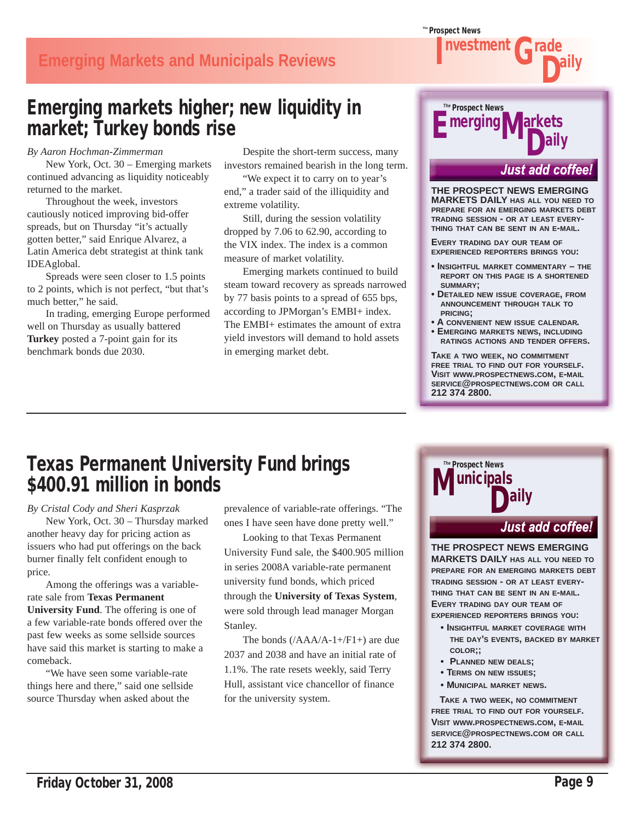Friday October 31, 2008 **Page 9** 

## **Emerging Markets and Municipals Reviews**

## Emerging markets higher; new liquidity in market; Turkey bonds rise

*By Aaron Hochman-Zimmerman*

 New York, Oct. 30 – Emerging markets continued advancing as liquidity noticeably returned to the market.

 Throughout the week, investors cautiously noticed improving bid-offer spreads, but on Thursday "it's actually gotten better," said Enrique Alvarez, a Latin America debt strategist at think tank IDEAglobal.

 Spreads were seen closer to 1.5 points to 2 points, which is not perfect, "but that's much better," he said.

 In trading, emerging Europe performed well on Thursday as usually battered **Turkey** posted a 7-point gain for its benchmark bonds due 2030.

 Despite the short-term success, many investors remained bearish in the long term.

 "We expect it to carry on to year's end," a trader said of the illiquidity and extreme volatility.

 Still, during the session volatility dropped by 7.06 to 62.90, according to the VIX index. The index is a common measure of market volatility.

 Emerging markets continued to build steam toward recovery as spreads narrowed by 77 basis points to a spread of 655 bps, according to JPMorgan's EMBI+ index. The EMBI+ estimates the amount of extra yield investors will demand to hold assets in emerging market debt.

## Prospect News *The*  $\blacksquare$  merging  $\blacksquare$  Markets

#### **Just add coffee!**

**THE PROSPECT NEWS EMERGING MARKETS DAILY HAS ALL YOU NEED TO PREPARE FOR AN EMERGING MARKETS DEBT TRADING SESSION - OR AT LEAST EVERY-THING THAT CAN BE SENT IN AN E-MAIL.**

**EVERY TRADING DAY OUR TEAM OF EXPERIENCED REPORTERS BRINGS YOU:**

- **INSIGHTFUL MARKET COMMENTARY THE REPORT ON THIS PAGE IS A SHORTENED SUMMARY;**
- **DETAILED NEW ISSUE COVERAGE, FROM ANNOUNCEMENT THROUGH TALK TO PRICING;**
- **A CONVENIENT NEW ISSUE CALENDAR.**
- **EMERGING MARKETS NEWS, INCLUDING RATINGS ACTIONS AND TENDER OFFERS.**

**TAKE A TWO WEEK, NO COMMITMENT FREE TRIAL TO FIND OUT FOR YOURSELF. VISIT WWW.PROSPECTNEWS.COM, E-MAIL SERVICE@PROSPECTNEWS.COM OR CALL 212 374 2800.**

Prospect News *The*

unicipals<br>**Maily** 

## Texas Permanent University Fund brings \$400.91 million in bonds

*By Cristal Cody and Sheri Kasprzak*

 New York, Oct. 30 – Thursday marked another heavy day for pricing action as issuers who had put offerings on the back burner finally felt confident enough to price.

 Among the offerings was a variablerate sale from **Texas Permanent University Fund**. The offering is one of a few variable-rate bonds offered over the past few weeks as some sellside sources have said this market is starting to make a comeback.

 "We have seen some variable-rate things here and there," said one sellside source Thursday when asked about the

prevalence of variable-rate offerings. "The ones I have seen have done pretty well."

 Looking to that Texas Permanent University Fund sale, the \$400.905 million in series 2008A variable-rate permanent university fund bonds, which priced through the **University of Texas System**, were sold through lead manager Morgan Stanley.

The bonds  $((AAA/A-1+/F1+)$  are due 2037 and 2038 and have an initial rate of 1.1%. The rate resets weekly, said Terry Hull, assistant vice chancellor of finance for the university system.

### **Just add coffee!**

**THE PROSPECT NEWS EMERGING MARKETS DAILY HAS ALL YOU NEED TO PREPARE FOR AN EMERGING MARKETS DEBT TRADING SESSION - OR AT LEAST EVERY-THING THAT CAN BE SENT IN AN E-MAIL. EVERY TRADING DAY OUR TEAM OF EXPERIENCED REPORTERS BRINGS YOU:**

- **INSIGHTFUL MARKET COVERAGE WITH THE DAY'S EVENTS, BACKED BY MARKET COLOR;;**
- **PLANNED NEW DEALS;**
- **TERMS ON NEW ISSUES;**
- **MUNICIPAL MARKET NEWS.**

 **TAKE <sup>A</sup> TWO WEEK, NO COMMITMENT FREE TRIAL TO FIND OUT FOR YOURSELF. VISIT WWW.PROSPECTNEWS.COM, E-MAIL SERVICE@PROSPECTNEWS.COM OR CALL 212 374 2800.**



Prospect News *The*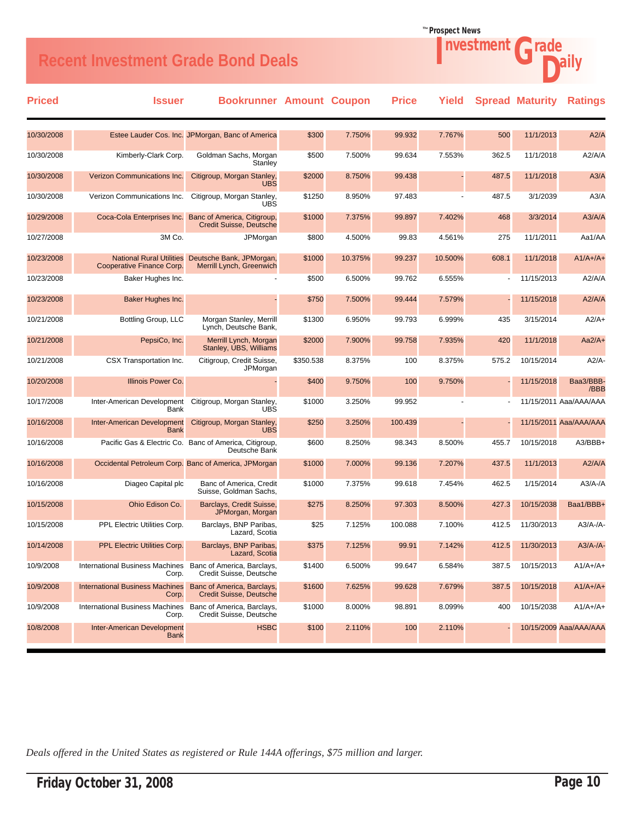## Recent Investment Grade Bond Deals **Access 19 and Secure 19 a**ily

| <b>Priced</b> | <b>Issuer</b>                                                       | <b>Bookrunner Amount Coupon</b>                                         |           |         | <b>Price</b> | Yield   |       | <b>Spread Maturity</b> | <b>Ratings</b>         |
|---------------|---------------------------------------------------------------------|-------------------------------------------------------------------------|-----------|---------|--------------|---------|-------|------------------------|------------------------|
| 10/30/2008    |                                                                     | Estee Lauder Cos. Inc. JPMorgan, Banc of America                        | \$300     | 7.750%  | 99.932       | 7.767%  | 500   | 11/1/2013              | A2/A                   |
| 10/30/2008    | Kimberly-Clark Corp.                                                | Goldman Sachs, Morgan<br>Stanley                                        | \$500     | 7.500%  | 99.634       | 7.553%  | 362.5 | 11/1/2018              | A2/A/A                 |
| 10/30/2008    | Verizon Communications Inc.                                         | Citigroup, Morgan Stanley,<br><b>UBS</b>                                | \$2000    | 8.750%  | 99.438       |         | 487.5 | 11/1/2018              | A3/A                   |
| 10/30/2008    | Verizon Communications Inc.                                         | Citigroup, Morgan Stanley,<br>UBS                                       | \$1250    | 8.950%  | 97.483       |         | 487.5 | 3/1/2039               | A3/A                   |
| 10/29/2008    | Coca-Cola Enterprises Inc.                                          | Banc of America, Citigroup,<br><b>Credit Suisse, Deutsche</b>           | \$1000    | 7.375%  | 99.897       | 7.402%  | 468   | 3/3/2014               | A3/A/A                 |
| 10/27/2008    | 3M Co.                                                              | JPMorgan                                                                | \$800     | 4.500%  | 99.83        | 4.561%  | 275   | 11/1/2011              | Aa1/AA                 |
| 10/23/2008    | <b>National Rural Utilities</b><br>Cooperative Finance Corp.        | Deutsche Bank, JPMorgan,<br>Merrill Lynch, Greenwich                    | \$1000    | 10.375% | 99.237       | 10.500% | 608.1 | 11/1/2018              | $A1/A+/A+$             |
| 10/23/2008    | Baker Hughes Inc.                                                   |                                                                         | \$500     | 6.500%  | 99.762       | 6.555%  |       | 11/15/2013             | A2/A/A                 |
| 10/23/2008    | Baker Hughes Inc.                                                   |                                                                         | \$750     | 7.500%  | 99.444       | 7.579%  |       | 11/15/2018             | A2/A/A                 |
| 10/21/2008    | Bottling Group, LLC                                                 | Morgan Stanley, Merrill<br>Lynch, Deutsche Bank,                        | \$1300    | 6.950%  | 99.793       | 6.999%  | 435   | 3/15/2014              | $A2/A+$                |
| 10/21/2008    | PepsiCo, Inc.                                                       | Merrill Lynch, Morgan<br>Stanley, UBS, Williams                         | \$2000    | 7.900%  | 99.758       | 7.935%  | 420   | 11/1/2018              | $Aa2/A+$               |
| 10/21/2008    | CSX Transportation Inc.                                             | Citigroup, Credit Suisse,<br>JPMorgan                                   | \$350.538 | 8.375%  | 100          | 8.375%  | 575.2 | 10/15/2014             | A2/A                   |
| 10/20/2008    | Illinois Power Co.                                                  |                                                                         | \$400     | 9.750%  | 100          | 9.750%  |       | 11/15/2018             | Baa3/BBB-<br>/BBB      |
| 10/17/2008    | Inter-American Development<br>Bank                                  | Citigroup, Morgan Stanley,<br>UBS                                       | \$1000    | 3.250%  | 99.952       |         |       |                        | 11/15/2011 Aaa/AAA/AAA |
| 10/16/2008    | Inter-American Development<br><b>Bank</b>                           | Citigroup, Morgan Stanley,<br><b>UBS</b>                                | \$250     | 3.250%  | 100.439      |         |       |                        | 11/15/2011 Aaa/AAA/AAA |
| 10/16/2008    |                                                                     | Pacific Gas & Electric Co. Banc of America, Citigroup,<br>Deutsche Bank | \$600     | 8.250%  | 98.343       | 8.500%  | 455.7 | 10/15/2018             | A3/BBB+                |
| 10/16/2008    |                                                                     | Occidental Petroleum Corp. Banc of America, JPMorgan                    | \$1000    | 7.000%  | 99.136       | 7.207%  | 437.5 | 11/1/2013              | A2/A/A                 |
| 10/16/2008    | Diageo Capital plc                                                  | Banc of America, Credit<br>Suisse, Goldman Sachs,                       | \$1000    | 7.375%  | 99.618       | 7.454%  | 462.5 | 1/15/2014              | $A3/A$ -/A             |
| 10/15/2008    | Ohio Edison Co.                                                     | Barclays, Credit Suisse,<br>JPMorgan, Morgan                            | \$275     | 8.250%  | 97.303       | 8.500%  | 427.3 | 10/15/2038             | Baa1/BBB+              |
| 10/15/2008    | PPL Electric Utilities Corp.                                        | Barclays, BNP Paribas,<br>Lazard, Scotia                                | \$25      | 7.125%  | 100.088      | 7.100%  | 412.5 | 11/30/2013             | $A3/A$ -/A-            |
| 10/14/2008    | <b>PPL Electric Utilities Corp.</b>                                 | Barclays, BNP Paribas,<br>Lazard, Scotia                                | \$375     | 7.125%  | 99.91        | 7.142%  | 412.5 | 11/30/2013             | $A3/A$ -/A-            |
| 10/9/2008     | International Business Machines Banc of America, Barclays,<br>Corp. | Credit Suisse, Deutsche                                                 | \$1400    | 6.500%  | 99.647       | 6.584%  | 387.5 | 10/15/2013             | $A1/A+/A+$             |
| 10/9/2008     | <b>International Business Machines</b><br>Corp.                     | Banc of America, Barclays,<br><b>Credit Suisse, Deutsche</b>            | \$1600    | 7.625%  | 99.628       | 7.679%  | 387.5 | 10/15/2018             | $A1/A+/A+$             |
| 10/9/2008     | International Business Machines<br>Corp.                            | Banc of America, Barclays,<br>Credit Suisse, Deutsche                   | \$1000    | 8.000%  | 98.891       | 8.099%  | 400   | 10/15/2038             | $A1/A+/A+$             |
| 10/8/2008     | <b>Inter-American Development</b><br><b>Bank</b>                    | <b>HSBC</b>                                                             | \$100     | 2.110%  | 100          | 2.110%  |       |                        | 10/15/2009 Aaa/AAA/AAA |

Prospect News *The*

**Investment Grade** 

*Deals offered in the United States as registered or Rule 144A offerings, \$75 million and larger.*